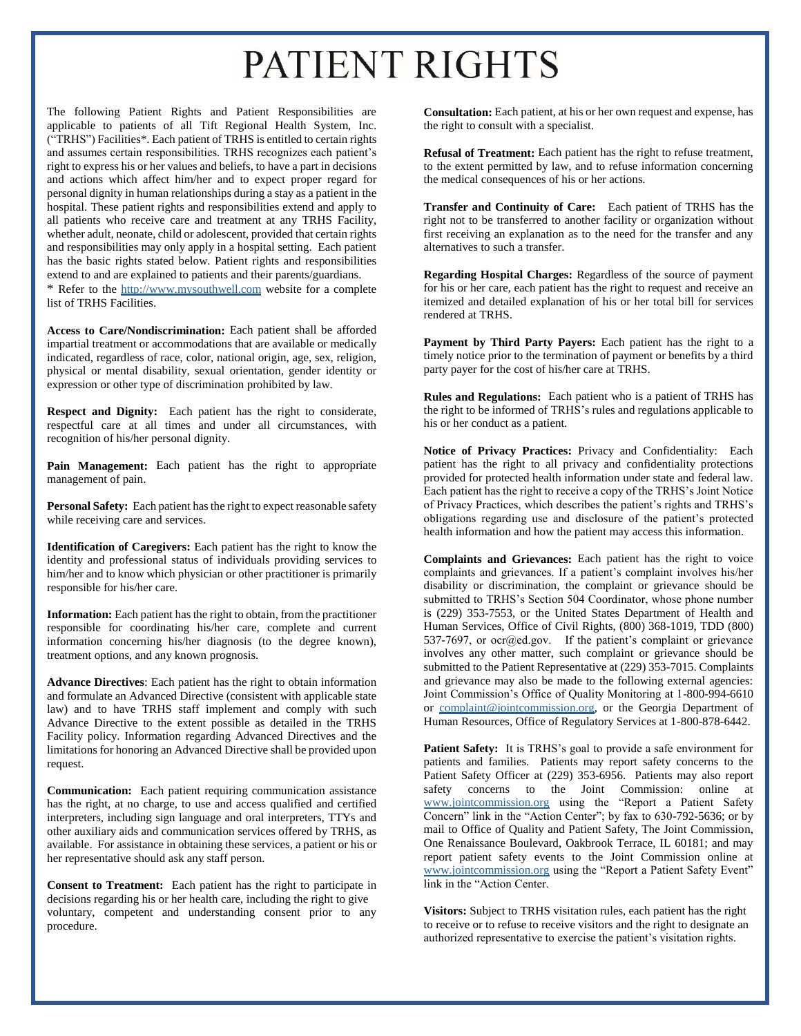## PATIENT RIGHTS

The following Patient Rights and Patient Responsibilities are applicable to patients of all Tift Regional Health System, Inc. ("TRHS") Facilities\*. Each patient of TRHS is entitled to certain rights and assumes certain responsibilities. TRHS recognizes each patient's right to express his or her values and beliefs, to have a part in decisions and actions which affect him/her and to expect proper regard for personal dignity in human relationships during a stay as a patient in the hospital. These patient rights and responsibilities extend and apply to all patients who receive care and treatment at any TRHS Facility, whether adult, neonate, child or adolescent, provided that certain rights and responsibilities may only apply in a hospital setting. Each patient has the basic rights stated below. Patient rights and responsibilities extend to and are explained to patients and their parents/guardians. \* Refer to the [http://www.mysouthwell.com](http://www.mysouthwell.com/) website for a complete list of TRHS Facilities.

**Access to Care/Nondiscrimination:** Each patient shall be afforded impartial treatment or accommodations that are available or medically indicated, regardless of race, color, national origin, age, sex, religion, physical or mental disability, sexual orientation, gender identity or expression or other type of discrimination prohibited by law.

**Respect and Dignity:** Each patient has the right to considerate, respectful care at all times and under all circumstances, with recognition of his/her personal dignity.

**Pain Management:** Each patient has the right to appropriate management of pain.

**Personal Safety:** Each patient has the right to expect reasonable safety while receiving care and services.

**Identification of Caregivers:** Each patient has the right to know the identity and professional status of individuals providing services to him/her and to know which physician or other practitioner is primarily responsible for his/her care.

**Information:** Each patient has the right to obtain, from the practitioner responsible for coordinating his/her care, complete and current information concerning his/her diagnosis (to the degree known), treatment options, and any known prognosis.

**Advance Directives**: Each patient has the right to obtain information and formulate an Advanced Directive (consistent with applicable state law) and to have TRHS staff implement and comply with such Advance Directive to the extent possible as detailed in the TRHS Facility policy. Information regarding Advanced Directives and the limitations for honoring an Advanced Directive shall be provided upon request.

**Communication:** Each patient requiring communication assistance has the right, at no charge, to use and access qualified and certified interpreters, including sign language and oral interpreters, TTYs and other auxiliary aids and communication services offered by TRHS, as available. For assistance in obtaining these services, a patient or his or her representative should ask any staff person.

**Consent to Treatment:** Each patient has the right to participate in decisions regarding his or her health care, including the right to give voluntary, competent and understanding consent prior to any procedure.

**Consultation:** Each patient, at his or her own request and expense, has the right to consult with a specialist.

**Refusal of Treatment:** Each patient has the right to refuse treatment, to the extent permitted by law, and to refuse information concerning the medical consequences of his or her actions.

**Transfer and Continuity of Care:** Each patient of TRHS has the right not to be transferred to another facility or organization without first receiving an explanation as to the need for the transfer and any alternatives to such a transfer.

**Regarding Hospital Charges:** Regardless of the source of payment for his or her care, each patient has the right to request and receive an itemized and detailed explanation of his or her total bill for services rendered at TRHS.

Payment by Third Party Payers: Each patient has the right to a timely notice prior to the termination of payment or benefits by a third party payer for the cost of his/her care at TRHS.

**Rules and Regulations:** Each patient who is a patient of TRHS has the right to be informed of TRHS's rules and regulations applicable to his or her conduct as a patient.

**Notice of Privacy Practices:** Privacy and Confidentiality: Each patient has the right to all privacy and confidentiality protections provided for protected health information under state and federal law. Each patient has the right to receive a copy of the TRHS's Joint Notice of Privacy Practices, which describes the patient's rights and TRHS's obligations regarding use and disclosure of the patient's protected health information and how the patient may access this information.

**Complaints and Grievances:** Each patient has the right to voice complaints and grievances. If a patient's complaint involves his/her disability or discrimination, the complaint or grievance should be submitted to TRHS's Section 504 Coordinator, whose phone number is (229) 353-7553, or the United States Department of Health and Human Services, Office of Civil Rights, (800) 368-1019, TDD (800) 537-7697, or ocr@ed.gov. If the patient's complaint or grievance involves any other matter, such complaint or grievance should be submitted to the Patient Representative at (229) 353-7015. Complaints and grievance may also be made to the following external agencies: Joint Commission's Office of Quality Monitoring at 1-800-994-6610 or complaint@jointcommission.org, or the Georgia Department of Human Resources, Office of Regulatory Services at 1-800-878-6442.

Patient Safety: It is TRHS's goal to provide a safe environment for patients and families. Patients may report safety concerns to the Patient Safety Officer at (229) 353-6956. Patients may also report safety concerns to the Joint Commission: online at www.jointcommission.org using the "Report a Patient Safety Concern" link in the "Action Center"; by fax to 630-792-5636; or by mail to Office of Quality and Patient Safety, The Joint Commission, One Renaissance Boulevard, Oakbrook Terrace, IL 60181; and may report patient safety events to the Joint Commission online at www.jointcommission.org using the "Report a Patient Safety Event" link in the "Action Center.

**Visitors:** Subject to TRHS visitation rules, each patient has the right to receive or to refuse to receive visitors and the right to designate an authorized representative to exercise the patient's visitation rights.